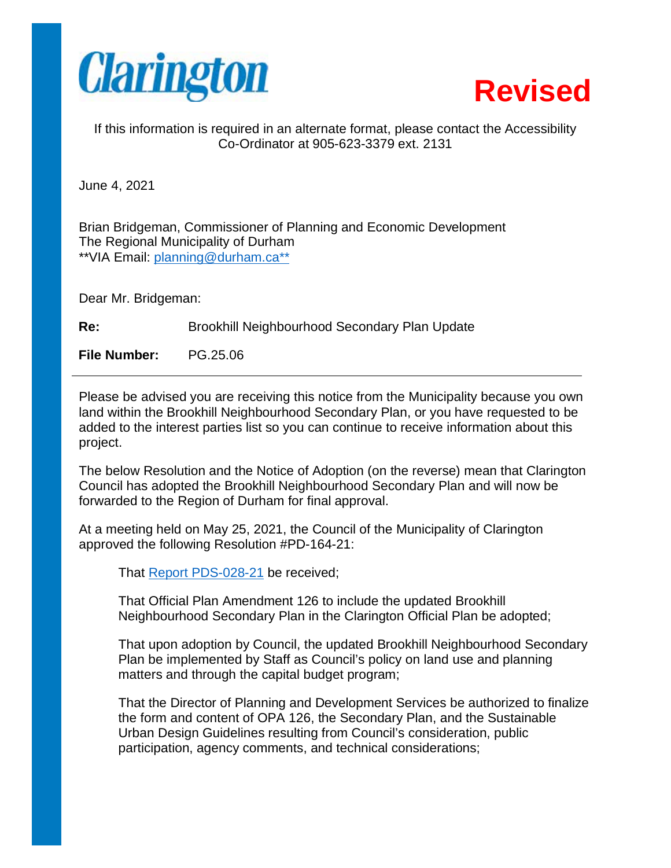



If this information is required in an alternate format, please contact the Accessibility Co-Ordinator at 905-623-3379 ext. 2131

June 4, 2021

Brian Bridgeman, Commissioner of Planning and Economic Development The Regional Municipality of Durham \*\*VIA Email: planning@durham.ca\*\*

Dear Mr. Bridgeman:

Re: Brookhill Neighbourhood Secondary Plan Update

**File Number:** PG.25.06

Please be advised you are receiving this notice from the Municipality because you own land within the Brookhill Neighbourhood Secondary Plan, or you have requested to be added to the interest parties list so you can continue to receive information about this project.

The below Resolution and the Notice of Adoption (on the reverse) mean that Clarington Council has adopted the Brookhill Neighbourhood Secondary Plan and will now be forwarded to the Region of Durham for final approval.

At a meeting held on May 25, 2021, the Council of the Municipality of Clarington approved the following Resolution #PD-164-21:

That Report PDS-028-21 be received;

That Official Plan Amendment 126 to include the updated Brookhill Neighbourhood Secondary Plan in the Clarington Official Plan be adopted;

That upon adoption by Council, the updated Brookhill Neighbourhood Secondary Plan be implemented by Staff as Council's policy on land use and planning matters and through the capital budget program;

That the Director of Planning and Development Services be authorized to finalize the form and content of OPA 126, the Secondary Plan, and the Sustainable Urban Design Guidelines resulting from Council's consideration, public participation, agency comments, and technical considerations;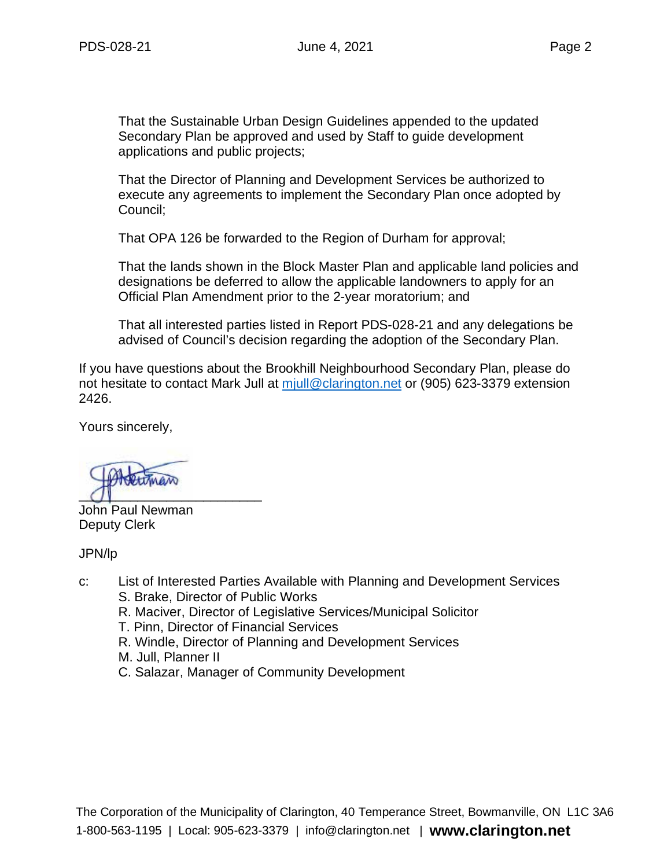That the Sustainable Urban Design Guidelines appended to the updated Secondary Plan be approved and used by Staff to guide development applications and public projects;

That the Director of Planning and Development Services be authorized to execute any agreements to implement the Secondary Plan once adopted by Council;

That OPA 126 be forwarded to the Region of Durham for approval;

That the lands shown in the Block Master Plan and applicable land policies and designations be deferred to allow the applicable landowners to apply for an Official Plan Amendment prior to the 2-year moratorium; and

That all interested parties listed in Report PDS-028-21 and any delegations be advised of Council's decision regarding the adoption of the Secondary Plan.

If you have questions about the Brookhill Neighbourhood Secondary Plan, please do not hesitate to contact Mark Jull at miull@clarington.net or (905) 623-3379 extension 2426.

Yours sincerely,

 $\overline{O}$ 

John Paul Newman Deputy Clerk

JPN/lp

- c: List of Interested Parties Available with Planning and Development Services
	- S. Brake, Director of Public Works
	- R. Maciver, Director of Legislative Services/Municipal Solicitor
	- T. Pinn, Director of Financial Services
	- R. Windle, Director of Planning and Development Services
	- M. Jull, Planner II
	- C. Salazar, Manager of Community Development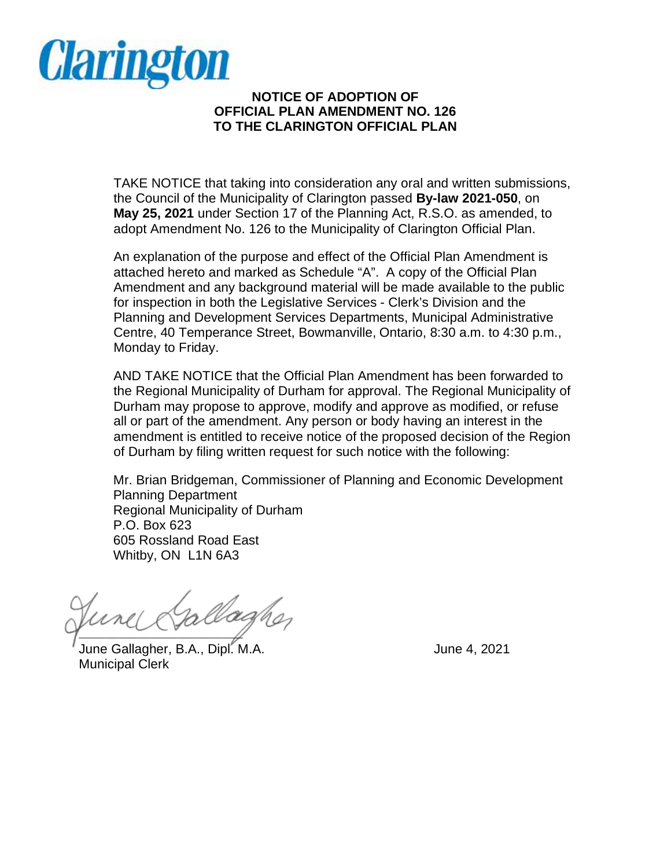

## **NOTICE OF ADOPTION OF OFFICIAL PLAN AMENDMENT NO. 126 TO THE CLARINGTON OFFICIAL PLAN**

TAKE NOTICE that taking into consideration any oral and written submissions, the Council of the Municipality of Clarington passed **By-law 2021-050**, on **May 25, 2021** under Section 17 of the Planning Act, R.S.O. as amended, to adopt Amendment No. 126 to the Municipality of Clarington Official Plan.

An explanation of the purpose and effect of the Official Plan Amendment is attached hereto and marked as Schedule "A". A copy of the Official Plan Amendment and any background material will be made available to the public for inspection in both the Legislative Services - Clerk's Division and the Planning and Development Services Departments, Municipal Administrative Centre, 40 Temperance Street, Bowmanville, Ontario, 8:30 a.m. to 4:30 p.m., Monday to Friday.

AND TAKE NOTICE that the Official Plan Amendment has been forwarded to the Regional Municipality of Durham for approval. The Regional Municipality of Durham may propose to approve, modify and approve as modified, or refuse all or part of the amendment. Any person or body having an interest in the amendment is entitled to receive notice of the proposed decision of the Region of Durham by filing written request for such notice with the following:

Mr. Brian Bridgeman, Commissioner of Planning and Economic Development Planning Department Regional Municipality of Durham P.O. Box 623 605 Rossland Road East Whitby, ON L1N 6A3

 $\sqrt{2}$ 

June Gallagher, B.A., Dipl. M.A. June 4, 2021 Municipal Clerk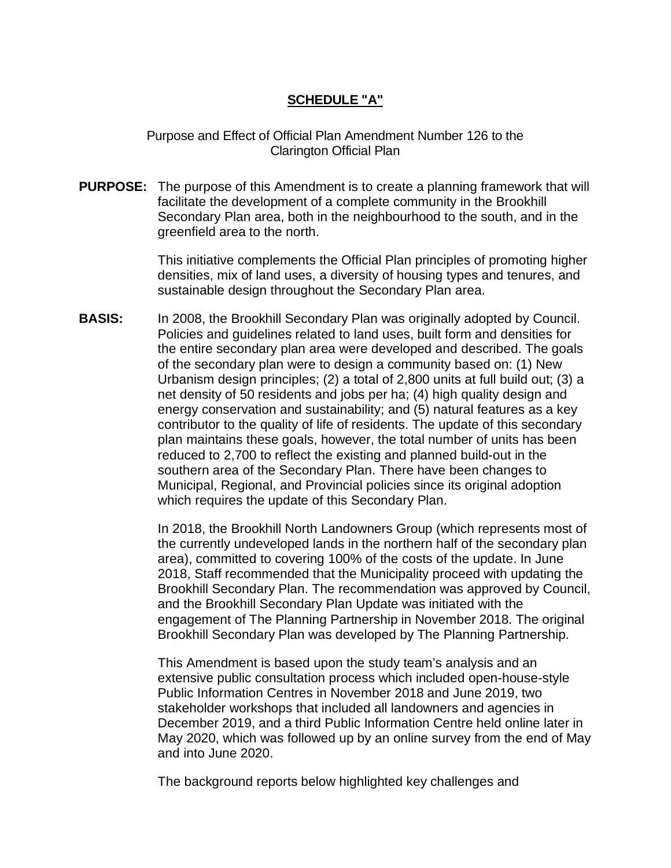## **SCHEDULE "A"**

Purpose and Effect of Official Plan Amendment Number 126 to the Clarington Official Plan

**PURPOSE:** The purpose of this Amendment is to create a planning framework that will facilitate the development of a complete community in the Brookhill Secondary Plan area, both in the neighbourhood to the south, and in the greenfield area to the north.

> This initiative complements the Official Plan principles of promoting higher densities, mix of land uses, a diversity of housing types and tenures, and sustainable design throughout the Secondary Plan area.

**BASIS:** In 2008, the Brookhill Secondary Plan was originally adopted by Council. Policies and guidelines related to land uses, built form and densities for the entire secondary plan area were developed and described. The goals of the secondary plan were to design a community based on: (1) New Urbanism design principles; (2) a total of 2,800 units at full build out; (3) a net density of 50 residents and jobs per ha; (4) high quality design and energy conservation and sustainability; and (5) natural features as a key contributor to the quality of life of residents. The update of this secondary plan maintains these goals, however, the total number of units has been reduced to 2,700 to reflect the existing and planned build-out in the southern area of the Secondary Plan. There have been changes to Municipal, Regional, and Provincial policies since its original adoption which requires the update of this Secondary Plan.

> In 2018, the Brookhill North Landowners Group (which represents most of the currently undeveloped lands in the northern half of the secondary plan area), committed to covering 100% of the costs of the update. In June 2018, Staff recommended that the Municipality proceed with updating the Brookhill Secondary Plan. The recommendation was approved by Council, and the Brookhill Secondary Plan Update was initiated with the engagement of The Planning Partnership in November 2018. The original Brookhill Secondary Plan was developed by The Planning Partnership.

> This Amendment is based upon the study team's analysis and an extensive public consultation process which included open-house-style Public Information Centres in November 2018 and June 2019, two stakeholder workshops that included all landowners and agencies in December 2019, and a third Public Information Centre held online later in May 2020, which was followed up by an online survey from the end of May and into June 2020.

The background reports below highlighted key challenges and